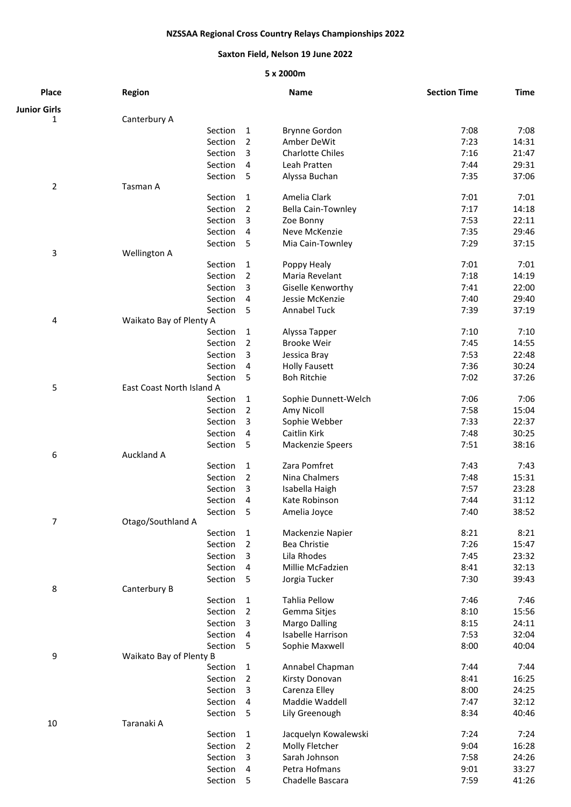## **NZSSAA Regional Cross Country Relays Championships 2022**

## **Saxton Field, Nelson 19 June 2022**

## **5 x 2000m**

| Place               | <b>Region</b>                      |                | <b>Name</b>                     | <b>Section Time</b> | <b>Time</b>    |
|---------------------|------------------------------------|----------------|---------------------------------|---------------------|----------------|
| <b>Junior Girls</b> |                                    |                |                                 |                     |                |
| 1                   | Canterbury A                       |                |                                 |                     |                |
|                     | Section                            | 1              | <b>Brynne Gordon</b>            | 7:08                | 7:08           |
|                     | Section                            | $\overline{2}$ | Amber DeWit                     | 7:23                | 14:31          |
|                     | Section                            | 3              | <b>Charlotte Chiles</b>         | 7:16                | 21:47          |
|                     | Section                            | 4              | Leah Pratten                    | 7:44                | 29:31          |
| 2                   | Section<br>Tasman A                | 5              | Alyssa Buchan                   | 7:35                | 37:06          |
|                     | Section                            | 1              | Amelia Clark                    | 7:01                | 7:01           |
|                     | Section                            | 2              | Bella Cain-Townley              | 7:17                | 14:18          |
|                     | Section                            | 3              | Zoe Bonny                       | 7:53                | 22:11          |
|                     | Section                            | 4              | Neve McKenzie                   | 7:35                | 29:46          |
|                     | Section                            | 5              | Mia Cain-Townley                | 7:29                | 37:15          |
| 3                   | Wellington A                       |                |                                 |                     |                |
|                     | Section                            | 1              | Poppy Healy                     | 7:01                | 7:01           |
|                     | Section                            | 2              | Maria Revelant                  | 7:18                | 14:19          |
|                     | Section                            | 3              | Giselle Kenworthy               | 7:41                | 22:00          |
|                     | Section                            | 4              | Jessie McKenzie                 | 7:40                | 29:40          |
| 4                   | Section<br>Waikato Bay of Plenty A | 5              | <b>Annabel Tuck</b>             | 7:39                | 37:19          |
|                     | Section                            | 1              | Alyssa Tapper                   | 7:10                | 7:10           |
|                     | Section                            | $\overline{2}$ | <b>Brooke Weir</b>              | 7:45                | 14:55          |
|                     | Section                            | 3              | Jessica Bray                    | 7:53                | 22:48          |
|                     | Section                            | 4              | <b>Holly Fausett</b>            | 7:36                | 30:24          |
|                     | Section                            | 5              | <b>Boh Ritchie</b>              | 7:02                | 37:26          |
| 5                   | East Coast North Island A          |                |                                 |                     |                |
|                     | Section                            | $\mathbf{1}$   | Sophie Dunnett-Welch            | 7:06                | 7:06           |
|                     | Section                            | $\overline{2}$ | Amy Nicoll                      | 7:58                | 15:04          |
|                     | Section                            | 3              | Sophie Webber                   | 7:33                | 22:37          |
|                     | Section                            | 4              | Caitlin Kirk                    | 7:48                | 30:25          |
|                     | Section                            | 5              | Mackenzie Speers                | 7:51                | 38:16          |
| 6                   | Auckland A                         |                |                                 |                     |                |
|                     | Section                            | 1              | Zara Pomfret                    | 7:43                | 7:43           |
|                     | Section                            | 2              | Nina Chalmers                   | 7:48                | 15:31          |
|                     | Section<br>Section                 | 3<br>4         | Isabella Haigh<br>Kate Robinson | 7:57<br>7:44        | 23:28<br>31:12 |
|                     | Section                            | 5              | Amelia Joyce                    | 7:40                | 38:52          |
| 7                   | Otago/Southland A                  |                |                                 |                     |                |
|                     | Section                            | $\mathbf 1$    | Mackenzie Napier                | 8:21                | 8:21           |
|                     | Section                            | $\overline{2}$ | Bea Christie                    | 7:26                | 15:47          |
|                     | Section                            | 3              | Lila Rhodes                     | 7:45                | 23:32          |
|                     | Section                            | 4              | Millie McFadzien                | 8:41                | 32:13          |
|                     | Section                            | 5              | Jorgia Tucker                   | 7:30                | 39:43          |
| 8                   | Canterbury B                       |                |                                 |                     |                |
|                     | Section                            | 1              | Tahlia Pellow                   | 7:46                | 7:46           |
|                     | Section                            | $\overline{2}$ | Gemma Sitjes                    | 8:10                | 15:56          |
|                     | Section                            | 3              | <b>Margo Dalling</b>            | 8:15                | 24:11          |
|                     | Section                            | 4              | <b>Isabelle Harrison</b>        | 7:53                | 32:04          |
| 9                   | Section<br>Waikato Bay of Plenty B | 5              | Sophie Maxwell                  | 8:00                | 40:04          |
|                     | Section                            | 1              | Annabel Chapman                 | 7:44                | 7:44           |
|                     | Section                            | $\overline{2}$ | Kirsty Donovan                  | 8:41                | 16:25          |
|                     | Section                            | 3              | Carenza Elley                   | 8:00                | 24:25          |
|                     | Section                            | 4              | Maddie Waddell                  | 7:47                | 32:12          |
|                     | Section                            | 5              | Lily Greenough                  | 8:34                | 40:46          |
| 10                  | Taranaki A                         |                |                                 |                     |                |
|                     | Section                            | $\mathbf{1}$   | Jacquelyn Kowalewski            | 7:24                | 7:24           |
|                     | Section                            | $\overline{2}$ | Molly Fletcher                  | 9:04                | 16:28          |
|                     | Section                            | 3              | Sarah Johnson                   | 7:58                | 24:26          |
|                     | Section                            | 4              | Petra Hofmans                   | 9:01                | 33:27          |
|                     | Section                            | 5              | Chadelle Bascara                | 7:59                | 41:26          |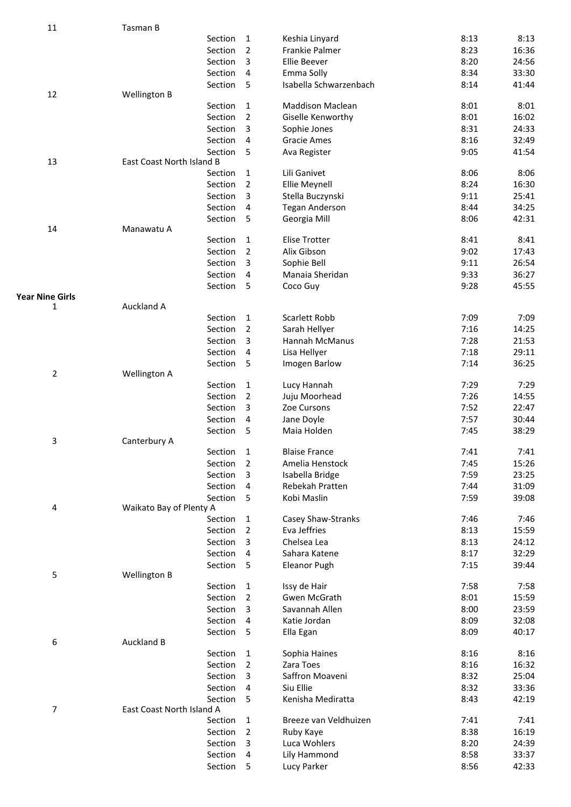| 11                     | Tasman B                  |                     |                         |      |       |
|------------------------|---------------------------|---------------------|-------------------------|------|-------|
|                        | Section                   | $\mathbf 1$         | Keshia Linyard          | 8:13 | 8:13  |
|                        | Section                   | $\overline{2}$      | <b>Frankie Palmer</b>   | 8:23 | 16:36 |
|                        | Section                   | 3                   | Ellie Beever            | 8:20 | 24:56 |
|                        | Section                   | 4                   | Emma Solly              | 8:34 | 33:30 |
|                        | Section                   | 5                   | Isabella Schwarzenbach  | 8:14 | 41:44 |
| 12                     | Wellington B              |                     |                         |      |       |
|                        | Section                   | 1                   | <b>Maddison Maclean</b> | 8:01 | 8:01  |
|                        | Section                   | 2                   | Giselle Kenworthy       | 8:01 | 16:02 |
|                        | Section                   | 3                   | Sophie Jones            | 8:31 | 24:33 |
|                        | Section                   | 4                   | <b>Gracie Ames</b>      | 8:16 | 32:49 |
|                        | Section                   | 5                   | Ava Register            | 9:05 | 41:54 |
| 13                     | East Coast North Island B |                     |                         |      |       |
|                        | Section                   | $\mathbf{1}$        | Lili Ganivet            | 8:06 | 8:06  |
|                        | Section                   | $\overline{2}$      | <b>Ellie Meynell</b>    | 8:24 | 16:30 |
|                        | Section                   | 3                   | Stella Buczynski        | 9:11 | 25:41 |
|                        | Section                   | 4                   | <b>Tegan Anderson</b>   | 8:44 | 34:25 |
|                        | Section                   | 5                   | Georgia Mill            | 8:06 | 42:31 |
| 14                     | Manawatu A<br>Section     |                     | Elise Trotter           | 8:41 | 8:41  |
|                        | Section                   | 1<br>$\overline{2}$ | Alix Gibson             | 9:02 | 17:43 |
|                        | Section                   | 3                   | Sophie Bell             | 9:11 | 26:54 |
|                        | Section                   | 4                   | Manaia Sheridan         | 9:33 | 36:27 |
|                        | Section                   | 5                   |                         | 9:28 | 45:55 |
| <b>Year Nine Girls</b> |                           |                     | Coco Guy                |      |       |
| 1                      | Auckland A                |                     |                         |      |       |
|                        | Section                   | 1                   | Scarlett Robb           | 7:09 | 7:09  |
|                        | Section                   | $\overline{2}$      | Sarah Hellyer           | 7:16 | 14:25 |
|                        | Section                   | 3                   | Hannah McManus          | 7:28 | 21:53 |
|                        | Section                   | 4                   | Lisa Hellyer            | 7:18 | 29:11 |
|                        | Section                   | 5                   | Imogen Barlow           | 7:14 | 36:25 |
| $\overline{2}$         | Wellington A              |                     |                         |      |       |
|                        | Section                   | $\mathbf{1}$        | Lucy Hannah             | 7:29 | 7:29  |
|                        | Section                   | 2                   | Juju Moorhead           | 7:26 | 14:55 |
|                        | Section                   | 3                   | Zoe Cursons             | 7:52 | 22:47 |
|                        | Section                   | 4                   | Jane Doyle              | 7:57 | 30:44 |
|                        | Section                   | 5                   | Maia Holden             | 7:45 | 38:29 |
| 3                      | Canterbury A              |                     |                         |      |       |
|                        | Section                   | 1                   | <b>Blaise France</b>    | 7:41 | 7:41  |
|                        | Section                   | 2                   | Amelia Henstock         | 7:45 | 15:26 |
|                        | Section                   | 3                   | Isabella Bridge         | 7:59 | 23:25 |
|                        | Section                   | 4                   | Rebekah Pratten         | 7:44 | 31:09 |
|                        | Section                   | 5                   | Kobi Maslin             | 7:59 | 39:08 |
| 4                      | Waikato Bay of Plenty A   |                     |                         |      |       |
|                        | Section                   | 1                   | Casey Shaw-Stranks      | 7:46 | 7:46  |
|                        | Section                   | 2                   | Eva Jeffries            | 8:13 | 15:59 |
|                        | Section                   | 3                   | Chelsea Lea             | 8:13 | 24:12 |
|                        | Section                   | 4                   | Sahara Katene           | 8:17 | 32:29 |
| $\mathsf S$            | Section<br>Wellington B   | 5                   | <b>Eleanor Pugh</b>     | 7:15 | 39:44 |
|                        | Section                   | 1                   | Issy de Hair            | 7:58 | 7:58  |
|                        | Section                   | 2                   | Gwen McGrath            | 8:01 | 15:59 |
|                        | Section                   | 3                   | Savannah Allen          | 8:00 | 23:59 |
|                        | Section                   | 4                   | Katie Jordan            | 8:09 | 32:08 |
|                        | Section                   | 5                   | Ella Egan               | 8:09 | 40:17 |
| 6                      | <b>Auckland B</b>         |                     |                         |      |       |
|                        | Section                   | 1                   | Sophia Haines           | 8:16 | 8:16  |
|                        | Section                   | 2                   | Zara Toes               | 8:16 | 16:32 |
|                        | Section                   | 3                   | Saffron Moaveni         | 8:32 | 25:04 |
|                        | Section                   | 4                   | Siu Ellie               | 8:32 | 33:36 |
|                        | Section                   | 5                   | Kenisha Mediratta       | 8:43 | 42:19 |
| 7                      | East Coast North Island A |                     |                         |      |       |
|                        | Section                   | 1                   | Breeze van Veldhuizen   | 7:41 | 7:41  |
|                        | Section                   | 2                   | Ruby Kaye               | 8:38 | 16:19 |
|                        | Section                   | 3                   | Luca Wohlers            | 8:20 | 24:39 |
|                        | Section                   | 4                   | Lily Hammond            | 8:58 | 33:37 |
|                        | Section                   | 5                   | Lucy Parker             | 8:56 | 42:33 |
|                        |                           |                     |                         |      |       |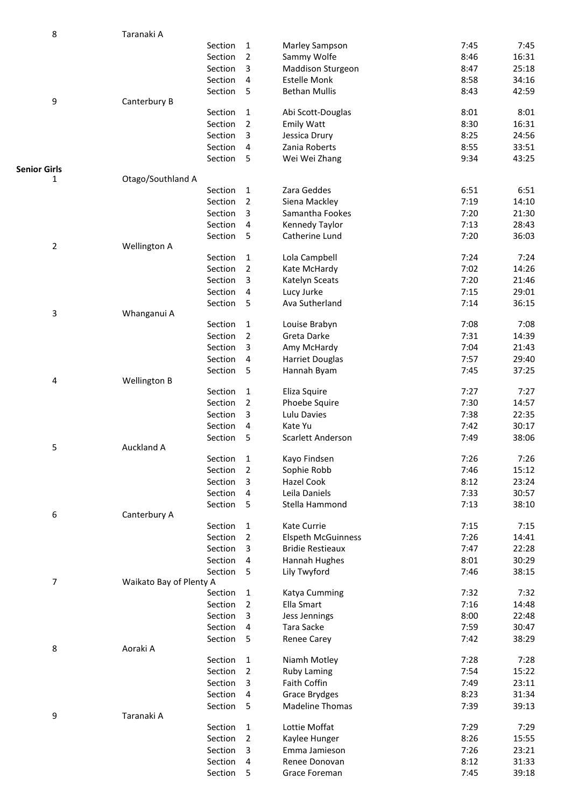| 8                         | Taranaki A              |         |                |                           |      |       |
|---------------------------|-------------------------|---------|----------------|---------------------------|------|-------|
|                           |                         | Section | 1              | Marley Sampson            | 7:45 | 7:45  |
|                           |                         | Section | $\mathbf 2$    | Sammy Wolfe               | 8:46 | 16:31 |
|                           |                         | Section | 3              | <b>Maddison Sturgeon</b>  | 8:47 | 25:18 |
|                           |                         | Section | 4              | <b>Estelle Monk</b>       | 8:58 | 34:16 |
|                           |                         | Section | 5              | <b>Bethan Mullis</b>      | 8:43 | 42:59 |
| 9                         | Canterbury B            |         |                |                           |      |       |
|                           |                         | Section | 1              | Abi Scott-Douglas         | 8:01 | 8:01  |
|                           |                         | Section | $\overline{2}$ | <b>Emily Watt</b>         | 8:30 | 16:31 |
|                           |                         | Section | 3              | Jessica Drury             | 8:25 | 24:56 |
|                           |                         | Section | 4              | Zania Roberts             | 8:55 | 33:51 |
|                           |                         | Section | 5              | Wei Wei Zhang             | 9:34 | 43:25 |
| <b>Senior Girls</b>       |                         |         |                |                           |      |       |
| 1                         | Otago/Southland A       |         |                |                           |      |       |
|                           |                         | Section | 1              | Zara Geddes               | 6:51 | 6:51  |
|                           |                         | Section | $\overline{2}$ | Siena Mackley             | 7:19 | 14:10 |
|                           |                         | Section | 3              | Samantha Fookes           | 7:20 | 21:30 |
|                           |                         | Section | 4              | Kennedy Taylor            | 7:13 | 28:43 |
|                           |                         | Section | 5              | Catherine Lund            | 7:20 | 36:03 |
| $\mathbf 2$               | Wellington A            |         |                |                           |      |       |
|                           |                         | Section | 1              | Lola Campbell             | 7:24 | 7:24  |
|                           |                         | Section | $\overline{2}$ | Kate McHardy              | 7:02 | 14:26 |
|                           |                         | Section | 3              | Katelyn Sceats            | 7:20 | 21:46 |
|                           |                         | Section | 4              | Lucy Jurke                | 7:15 | 29:01 |
|                           |                         | Section | 5              | Ava Sutherland            | 7:14 | 36:15 |
| $\ensuremath{\mathsf{3}}$ | Whanganui A             |         |                |                           |      |       |
|                           |                         | Section | 1              | Louise Brabyn             | 7:08 | 7:08  |
|                           |                         | Section | $\overline{2}$ | Greta Darke               | 7:31 | 14:39 |
|                           |                         | Section | 3              | Amy McHardy               | 7:04 | 21:43 |
|                           |                         | Section | 4              | <b>Harriet Douglas</b>    | 7:57 | 29:40 |
|                           |                         | Section | 5              | Hannah Byam               | 7:45 | 37:25 |
| $\pmb{4}$                 | Wellington B            |         |                |                           |      |       |
|                           |                         | Section | 1              | Eliza Squire              | 7:27 | 7:27  |
|                           |                         | Section | $\overline{2}$ | Phoebe Squire             | 7:30 | 14:57 |
|                           |                         | Section | 3              | Lulu Davies               | 7:38 | 22:35 |
|                           |                         | Section | 4              | Kate Yu                   | 7:42 | 30:17 |
|                           |                         | Section | 5              | Scarlett Anderson         | 7:49 | 38:06 |
| 5                         | Auckland A              |         |                |                           |      |       |
|                           |                         | Section | 1              | Kayo Findsen              | 7:26 | 7:26  |
|                           |                         | Section | 2              | Sophie Robb               | 7:46 | 15:12 |
|                           |                         | Section | 3              | Hazel Cook                | 8:12 | 23:24 |
|                           |                         | Section | 4              | Leila Daniels             | 7:33 | 30:57 |
|                           |                         | Section | 5              | Stella Hammond            | 7:13 | 38:10 |
| 6                         | Canterbury A            |         |                |                           |      |       |
|                           |                         | Section | 1              | Kate Currie               | 7:15 | 7:15  |
|                           |                         | Section | 2              | <b>Elspeth McGuinness</b> | 7:26 | 14:41 |
|                           |                         | Section | 3              | <b>Bridie Restieaux</b>   | 7:47 | 22:28 |
|                           |                         | Section | 4              | Hannah Hughes             | 8:01 | 30:29 |
|                           |                         | Section | 5              | Lily Twyford              | 7:46 | 38:15 |
| $\overline{\phantom{a}}$  | Waikato Bay of Plenty A |         |                |                           |      |       |
|                           |                         | Section | 1              | Katya Cumming             | 7:32 | 7:32  |
|                           |                         | Section | 2              | Ella Smart                | 7:16 | 14:48 |
|                           |                         | Section | 3              | Jess Jennings             | 8:00 | 22:48 |
|                           |                         | Section | 4              | Tara Sacke                | 7:59 | 30:47 |
|                           |                         | Section | 5              | <b>Renee Carey</b>        | 7:42 | 38:29 |
| 8                         | Aoraki A                |         |                |                           |      |       |
|                           |                         | Section | 1              | Niamh Motley              | 7:28 | 7:28  |
|                           |                         | Section | 2              | <b>Ruby Laming</b>        | 7:54 | 15:22 |
|                           |                         | Section | 3              | Faith Coffin              | 7:49 | 23:11 |
|                           |                         | Section | 4              | <b>Grace Brydges</b>      | 8:23 | 31:34 |
|                           |                         | Section | 5              | <b>Madeline Thomas</b>    | 7:39 | 39:13 |
| 9                         | Taranaki A              |         |                |                           |      |       |
|                           |                         | Section | 1              | Lottie Moffat             | 7:29 | 7:29  |
|                           |                         | Section | 2              | Kaylee Hunger             | 8:26 | 15:55 |
|                           |                         | Section | 3              | Emma Jamieson             | 7:26 | 23:21 |
|                           |                         | Section | 4              | Renee Donovan             | 8:12 | 31:33 |
|                           |                         | Section | 5              | Grace Foreman             | 7:45 | 39:18 |
|                           |                         |         |                |                           |      |       |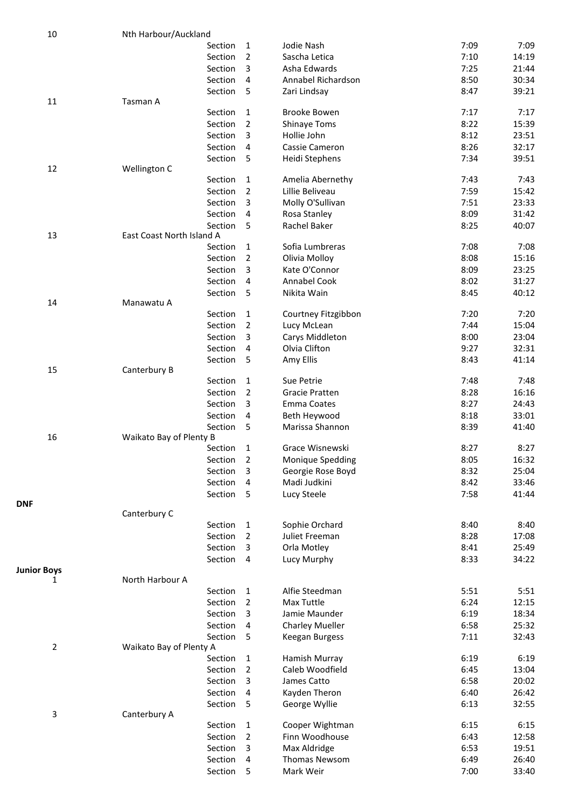| 10                      | Nth Harbour/Auckland               |                |                        |      |       |
|-------------------------|------------------------------------|----------------|------------------------|------|-------|
|                         | Section                            | 1              | Jodie Nash             | 7:09 | 7:09  |
|                         | Section                            | $\overline{2}$ | Sascha Letica          | 7:10 | 14:19 |
|                         | Section                            | 3              | Asha Edwards           | 7:25 | 21:44 |
|                         | Section                            | 4              | Annabel Richardson     | 8:50 | 30:34 |
|                         | Section                            | 5              | Zari Lindsay           | 8:47 | 39:21 |
| 11                      | Tasman A                           |                |                        |      |       |
|                         | Section                            | 1              | <b>Brooke Bowen</b>    | 7:17 | 7:17  |
|                         | Section                            | 2              | <b>Shinaye Toms</b>    | 8:22 | 15:39 |
|                         | Section                            | 3              | Hollie John            | 8:12 | 23:51 |
|                         | Section                            | 4              | Cassie Cameron         | 8:26 | 32:17 |
|                         | Section                            | 5              | Heidi Stephens         | 7:34 | 39:51 |
| 12                      | Wellington C                       |                |                        |      |       |
|                         | Section                            | 1              | Amelia Abernethy       | 7:43 | 7:43  |
|                         | Section                            | 2              | Lillie Beliveau        | 7:59 | 15:42 |
|                         | Section                            | 3              | Molly O'Sullivan       | 7:51 | 23:33 |
|                         | Section                            | 4              | Rosa Stanley           | 8:09 | 31:42 |
|                         | Section                            | 5              | Rachel Baker           | 8:25 | 40:07 |
| 13                      | East Coast North Island A          |                |                        |      |       |
|                         | Section                            | 1              | Sofia Lumbreras        | 7:08 | 7:08  |
|                         | Section                            | 2              | Olivia Molloy          | 8:08 | 15:16 |
|                         | Section                            | 3              | Kate O'Connor          | 8:09 | 23:25 |
|                         | Section                            | 4              | Annabel Cook           | 8:02 | 31:27 |
|                         | Section                            | 5              | Nikita Wain            | 8:45 | 40:12 |
| 14                      | Manawatu A                         |                |                        |      |       |
|                         | Section                            | 1              | Courtney Fitzgibbon    | 7:20 | 7:20  |
|                         | Section                            | 2              | Lucy McLean            | 7:44 | 15:04 |
|                         | Section                            | 3              | Carys Middleton        | 8:00 | 23:04 |
|                         | Section                            | 4              | Olvia Clifton          | 9:27 | 32:31 |
|                         | Section                            | 5              | Amy Ellis              | 8:43 | 41:14 |
| 15                      | Canterbury B                       |                |                        |      |       |
|                         | Section                            | $\mathbf{1}$   | Sue Petrie             | 7:48 | 7:48  |
|                         | Section                            | 2              | <b>Gracie Pratten</b>  | 8:28 | 16:16 |
|                         | Section                            | 3              | Emma Coates            | 8:27 | 24:43 |
|                         | Section                            | 4              | Beth Heywood           | 8:18 | 33:01 |
|                         | Section                            | 5              | Marissa Shannon        | 8:39 | 41:40 |
| 16                      | Waikato Bay of Plenty B            |                |                        |      |       |
|                         | Section                            | 1              | Grace Wisnewski        | 8:27 | 8:27  |
|                         | Section                            | 2              | Monique Spedding       | 8:05 | 16:32 |
|                         | Section                            | 3              | Georgie Rose Boyd      | 8:32 | 25:04 |
|                         | Section                            | 4              | Madi Judkini           | 8:42 | 33:46 |
|                         | Section                            | 5              | Lucy Steele            | 7:58 | 41:44 |
| <b>DNF</b>              |                                    |                |                        |      |       |
|                         | Canterbury C                       |                |                        |      |       |
|                         | Section                            | 1              | Sophie Orchard         | 8:40 | 8:40  |
|                         | Section                            | 2              | Juliet Freeman         | 8:28 | 17:08 |
|                         | Section                            | 3              | Orla Motley            | 8:41 | 25:49 |
|                         | Section                            | 4              | Lucy Murphy            | 8:33 | 34:22 |
| <b>Junior Boys</b><br>1 | North Harbour A                    |                |                        |      |       |
|                         | Section                            | 1              | Alfie Steedman         | 5:51 | 5:51  |
|                         | Section                            | 2              | Max Tuttle             | 6:24 | 12:15 |
|                         | Section                            | 3              | Jamie Maunder          | 6:19 | 18:34 |
|                         | Section                            | 4              | <b>Charley Mueller</b> | 6:58 | 25:32 |
|                         |                                    | 5              |                        | 7:11 | 32:43 |
| 2                       | Section<br>Waikato Bay of Plenty A |                | Keegan Burgess         |      |       |
|                         | Section                            | 1              | Hamish Murray          | 6:19 | 6:19  |
|                         | Section                            | 2              | Caleb Woodfield        | 6:45 | 13:04 |
|                         | Section                            | 3              | James Catto            | 6:58 | 20:02 |
|                         | Section                            | 4              | Kayden Theron          | 6:40 | 26:42 |
|                         | Section                            | 5              | George Wyllie          | 6:13 | 32:55 |
| 3                       | Canterbury A                       |                |                        |      |       |
|                         | Section                            | 1              | Cooper Wightman        | 6:15 | 6:15  |
|                         | Section                            | 2              | Finn Woodhouse         | 6:43 | 12:58 |
|                         | Section                            | 3              | Max Aldridge           | 6:53 | 19:51 |
|                         | Section                            | 4              | Thomas Newsom          | 6:49 | 26:40 |
|                         | Section                            | 5              | Mark Weir              | 7:00 | 33:40 |
|                         |                                    |                |                        |      |       |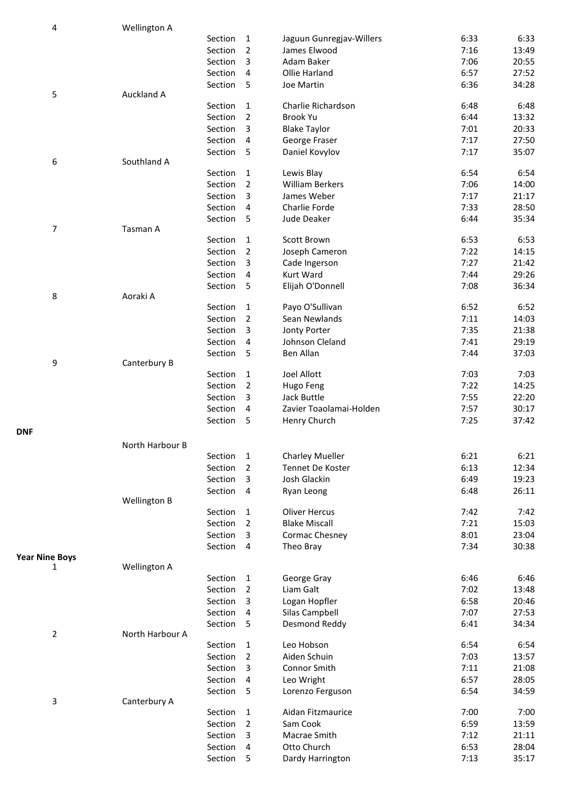| 4                     | Wellington A    |         |                                |                                      |              |                |
|-----------------------|-----------------|---------|--------------------------------|--------------------------------------|--------------|----------------|
|                       |                 | Section | 1                              | Jaguun Gunregjav-Willers             | 6:33         | 6:33           |
|                       |                 | Section | 2                              | James Elwood                         | 7:16         | 13:49          |
|                       |                 | Section | 3                              | Adam Baker                           | 7:06         | 20:55          |
|                       |                 | Section | 4                              | Ollie Harland                        | 6:57         | 27:52          |
|                       |                 | Section | 5                              | Joe Martin                           | 6:36         | 34:28          |
| 5                     | Auckland A      |         |                                |                                      |              |                |
|                       |                 | Section | 1                              | Charlie Richardson                   | 6:48         | 6:48           |
|                       |                 | Section | 2                              | Brook Yu                             | 6:44         | 13:32          |
|                       |                 | Section | 3                              | <b>Blake Taylor</b>                  | 7:01         | 20:33          |
|                       |                 | Section | 4                              | George Fraser                        | 7:17         | 27:50          |
|                       |                 | Section | 5                              | Daniel Kovylov                       | 7:17         | 35:07          |
| 6                     | Southland A     | Section |                                |                                      | 6:54         | 6:54           |
|                       |                 | Section | $\mathbf{1}$<br>$\overline{2}$ | Lewis Blay<br><b>William Berkers</b> | 7:06         | 14:00          |
|                       |                 | Section | 3                              | James Weber                          | 7:17         | 21:17          |
|                       |                 | Section | 4                              | Charlie Forde                        | 7:33         | 28:50          |
|                       |                 | Section | 5                              | Jude Deaker                          | 6:44         | 35:34          |
| $\overline{7}$        | Tasman A        |         |                                |                                      |              |                |
|                       |                 | Section | 1                              | Scott Brown                          | 6:53         | 6:53           |
|                       |                 | Section | $\overline{2}$                 | Joseph Cameron                       | 7:22         | 14:15          |
|                       |                 | Section | 3                              | Cade Ingerson                        | 7:27         | 21:42          |
|                       |                 | Section | 4                              | Kurt Ward                            | 7:44         | 29:26          |
|                       |                 | Section | 5                              | Elijah O'Donnell                     | 7:08         | 36:34          |
| 8                     | Aoraki A        |         |                                |                                      |              |                |
|                       |                 | Section | 1                              | Payo O'Sullivan                      | 6:52         | 6:52           |
|                       |                 | Section | $\overline{2}$                 | Sean Newlands                        | 7:11         | 14:03          |
|                       |                 | Section | 3                              | Jonty Porter                         | 7:35         | 21:38          |
|                       |                 | Section | 4                              | Johnson Cleland                      | 7:41         | 29:19          |
|                       |                 | Section | 5                              | Ben Allan                            | 7:44         | 37:03          |
| 9                     | Canterbury B    |         |                                |                                      |              |                |
|                       |                 | Section | $\mathbf{1}$                   | Joel Allott                          | 7:03         | 7:03           |
|                       |                 | Section | $\overline{2}$                 | Hugo Feng                            | 7:22         | 14:25          |
|                       |                 | Section | 3                              | Jack Buttle                          | 7:55         | 22:20          |
|                       |                 | Section | 4                              | Zavier Toaolamai-Holden              | 7:57         | 30:17          |
|                       |                 | Section | 5                              | Henry Church                         | 7:25         | 37:42          |
| <b>DNF</b>            |                 |         |                                |                                      |              |                |
|                       | North Harbour B |         |                                |                                      |              |                |
|                       |                 | Section | 1                              | <b>Charley Mueller</b>               | 6:21         | 6:21           |
|                       |                 | Section | 2                              | Tennet De Koster                     | 6:13         | 12:34          |
|                       |                 | Section | 3                              | Josh Glackin                         | 6:49         | 19:23          |
|                       |                 | Section | 4                              | Ryan Leong                           | 6:48         | 26:11          |
|                       | Wellington B    |         |                                |                                      |              |                |
|                       |                 | Section | 1                              | <b>Oliver Hercus</b>                 | 7:42         | 7:42           |
|                       |                 | Section | 2                              | <b>Blake Miscall</b>                 | 7:21         | 15:03          |
|                       |                 | Section | 3<br>4                         | Cormac Chesney<br>Theo Bray          | 8:01<br>7:34 | 23:04<br>30:38 |
| <b>Year Nine Boys</b> |                 | Section |                                |                                      |              |                |
| 1                     | Wellington A    |         |                                |                                      |              |                |
|                       |                 | Section | 1                              | George Gray                          | 6:46         | 6:46           |
|                       |                 | Section | 2                              | Liam Galt                            | 7:02         | 13:48          |
|                       |                 | Section | 3                              | Logan Hopfler                        | 6:58         | 20:46          |
|                       |                 | Section | 4                              | Silas Campbell                       | 7:07         | 27:53          |
|                       |                 | Section | 5                              | Desmond Reddy                        | 6:41         | 34:34          |
| $\overline{2}$        | North Harbour A |         |                                |                                      |              |                |
|                       |                 | Section | 1                              | Leo Hobson                           | 6:54         | 6:54           |
|                       |                 | Section | $\overline{2}$                 | Aiden Schuin                         | 7:03         | 13:57          |
|                       |                 | Section | 3                              | Connor Smith                         | 7:11         | 21:08          |
|                       |                 | Section | 4                              | Leo Wright                           | 6:57         | 28:05          |
|                       |                 | Section | 5                              | Lorenzo Ferguson                     | 6:54         | 34:59          |
| 3                     | Canterbury A    |         |                                |                                      |              |                |
|                       |                 | Section | $\mathbf{1}$                   | Aidan Fitzmaurice                    | 7:00         | 7:00           |
|                       |                 | Section | $\overline{2}$                 | Sam Cook                             | 6:59         | 13:59          |
|                       |                 | Section | 3                              | Macrae Smith                         | 7:12         | 21:11          |
|                       |                 | Section | 4                              | Otto Church                          | 6:53         | 28:04          |
|                       |                 | Section | 5                              | Dardy Harrington                     | 7:13         | 35:17          |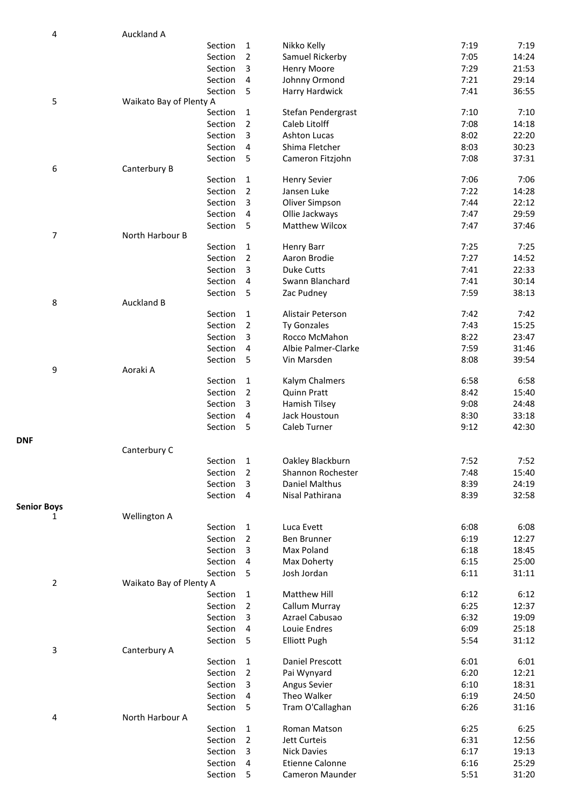| 4                  | Auckland A                 |                |                        |      |       |
|--------------------|----------------------------|----------------|------------------------|------|-------|
|                    | Section                    | $\mathbf{1}$   | Nikko Kelly            | 7:19 | 7:19  |
|                    | Section                    | $\overline{2}$ | Samuel Rickerby        | 7:05 | 14:24 |
|                    | Section                    | 3              | Henry Moore            | 7:29 | 21:53 |
|                    | Section                    | 4              | Johnny Ormond          | 7:21 | 29:14 |
|                    | Section                    | 5              | Harry Hardwick         | 7:41 | 36:55 |
| 5                  | Waikato Bay of Plenty A    |                |                        |      |       |
|                    | Section                    | 1              | Stefan Pendergrast     | 7:10 | 7:10  |
|                    | Section                    | 2              | Caleb Litolff          | 7:08 | 14:18 |
|                    | Section                    | 3              | Ashton Lucas           | 8:02 | 22:20 |
|                    | Section                    | 4              | Shima Fletcher         | 8:03 | 30:23 |
|                    | Section                    | 5              | Cameron Fitzjohn       | 7:08 | 37:31 |
| 6                  | Canterbury B               |                |                        |      |       |
|                    | Section                    | 1              | <b>Henry Sevier</b>    | 7:06 | 7:06  |
|                    | Section                    | 2              | Jansen Luke            | 7:22 | 14:28 |
|                    | Section                    | 3              | Oliver Simpson         | 7:44 | 22:12 |
|                    | Section                    | 4              | Ollie Jackways         | 7:47 | 29:59 |
|                    | Section                    | 5              | <b>Matthew Wilcox</b>  | 7:47 | 37:46 |
| 7                  | North Harbour B<br>Section |                |                        |      |       |
|                    |                            | 1              | <b>Henry Barr</b>      | 7:25 | 7:25  |
|                    | Section                    | 2              | Aaron Brodie           | 7:27 | 14:52 |
|                    | Section                    | 3              | <b>Duke Cutts</b>      | 7:41 | 22:33 |
|                    | Section                    | 4              | Swann Blanchard        | 7:41 | 30:14 |
| 8                  | Section<br>Auckland B      | 5              | Zac Pudney             | 7:59 | 38:13 |
|                    | Section                    | 1              | Alistair Peterson      | 7:42 | 7:42  |
|                    | Section                    | 2              | Ty Gonzales            | 7:43 | 15:25 |
|                    | Section                    | 3              | Rocco McMahon          | 8:22 | 23:47 |
|                    | Section                    | 4              | Albie Palmer-Clarke    | 7:59 | 31:46 |
|                    | Section                    | 5              | Vin Marsden            | 8:08 | 39:54 |
| 9                  | Aoraki A                   |                |                        |      |       |
|                    | Section                    | $\mathbf{1}$   | Kalym Chalmers         | 6:58 | 6:58  |
|                    | Section                    | $\overline{2}$ | <b>Quinn Pratt</b>     | 8:42 | 15:40 |
|                    | Section                    | 3              | Hamish Tilsey          | 9:08 | 24:48 |
|                    | Section                    | $\overline{4}$ | Jack Houstoun          | 8:30 | 33:18 |
|                    | Section                    | 5              | Caleb Turner           | 9:12 | 42:30 |
|                    |                            |                |                        |      |       |
| <b>DNF</b>         | Canterbury C               |                |                        |      |       |
|                    | Section 1                  |                | Oakley Blackburn       | 7:52 | 7:52  |
|                    | Section                    | 2              | Shannon Rochester      | 7:48 | 15:40 |
|                    | Section                    | 3              | Daniel Malthus         | 8:39 | 24:19 |
|                    | Section                    | $\overline{4}$ | Nisal Pathirana        | 8:39 | 32:58 |
| <b>Senior Boys</b> |                            |                |                        |      |       |
| 1                  | Wellington A               |                |                        |      |       |
|                    | Section                    | 1              | Luca Evett             | 6:08 | 6:08  |
|                    | Section                    | 2              | Ben Brunner            | 6:19 | 12:27 |
|                    | Section                    | 3              | Max Poland             | 6:18 | 18:45 |
|                    | Section                    | 4              | Max Doherty            | 6:15 | 25:00 |
|                    | Section                    | -5             | Josh Jordan            | 6:11 | 31:11 |
| $\overline{2}$     | Waikato Bay of Plenty A    |                |                        |      |       |
|                    | Section                    | 1              | Matthew Hill           | 6:12 | 6:12  |
|                    | Section                    | 2              | Callum Murray          | 6:25 | 12:37 |
|                    | Section                    | 3              | Azrael Cabusao         | 6:32 | 19:09 |
|                    | Section                    | 4              | Louie Endres           | 6:09 | 25:18 |
|                    | Section                    | 5              | <b>Elliott Pugh</b>    | 5:54 | 31:12 |
| 3                  | Canterbury A               |                |                        |      |       |
|                    | Section                    | 1              | Daniel Prescott        | 6:01 | 6:01  |
|                    | Section                    | 2              | Pai Wynyard            | 6:20 | 12:21 |
|                    | Section                    | 3              | Angus Sevier           | 6:10 | 18:31 |
|                    | Section                    | 4              | Theo Walker            | 6:19 | 24:50 |
|                    | Section                    | 5              | Tram O'Callaghan       | 6:26 | 31:16 |
| 4                  | North Harbour A            |                |                        |      |       |
|                    | Section                    | 1              | Roman Matson           | 6:25 | 6:25  |
|                    | Section                    | 2              | Jett Curteis           | 6:31 | 12:56 |
|                    | Section                    | 3              | <b>Nick Davies</b>     | 6:17 | 19:13 |
|                    | Section                    | 4              | <b>Etienne Calonne</b> | 6:16 | 25:29 |
|                    | Section                    | 5              | Cameron Maunder        | 5:51 | 31:20 |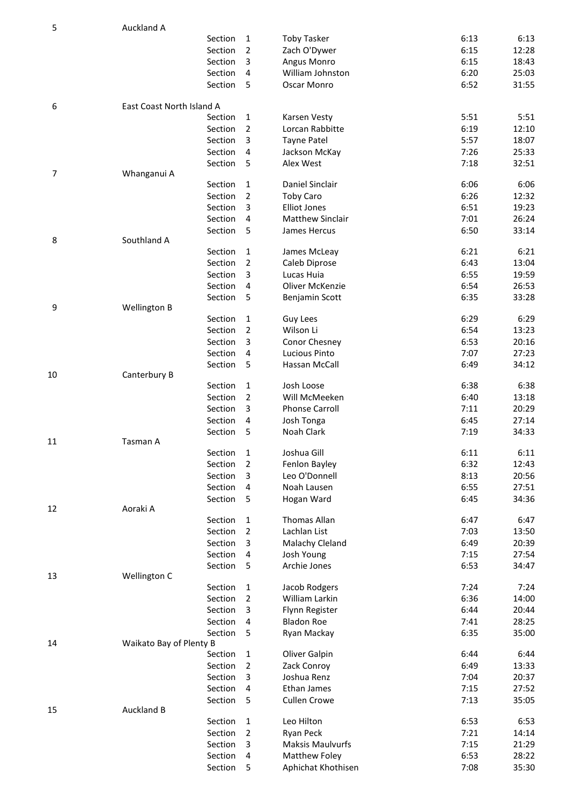| 5  | Auckland A                |         |                     |                         |      |       |
|----|---------------------------|---------|---------------------|-------------------------|------|-------|
|    |                           | Section | 1                   | <b>Toby Tasker</b>      | 6:13 | 6:13  |
|    |                           | Section | $\overline{2}$      | Zach O'Dywer            | 6:15 | 12:28 |
|    |                           | Section | 3                   | Angus Monro             | 6:15 | 18:43 |
|    |                           | Section | 4                   | William Johnston        | 6:20 | 25:03 |
|    |                           | Section | -5                  | Oscar Monro             | 6:52 | 31:55 |
| 6  | East Coast North Island A |         |                     |                         |      |       |
|    |                           | Section | $\mathbf{1}$        | Karsen Vesty            | 5:51 | 5:51  |
|    |                           | Section | $\overline{2}$      | Lorcan Rabbitte         | 6:19 | 12:10 |
|    |                           | Section | 3                   | <b>Tayne Patel</b>      | 5:57 | 18:07 |
|    |                           | Section | $\overline{4}$      | Jackson McKay           | 7:26 | 25:33 |
|    |                           | Section | 5                   | Alex West               | 7:18 | 32:51 |
| 7  | Whanganui A               | Section | 1                   | Daniel Sinclair         | 6:06 | 6:06  |
|    |                           | Section | $\overline{2}$      | <b>Toby Caro</b>        | 6:26 | 12:32 |
|    |                           | Section | 3                   | <b>Elliot Jones</b>     | 6:51 | 19:23 |
|    |                           | Section | 4                   | <b>Matthew Sinclair</b> | 7:01 | 26:24 |
|    |                           | Section | 5                   | James Hercus            | 6:50 | 33:14 |
| 8  | Southland A               |         |                     |                         |      |       |
|    |                           | Section | 1                   | James McLeay            | 6:21 | 6:21  |
|    |                           | Section | $\overline{2}$      | Caleb Diprose           | 6:43 | 13:04 |
|    |                           | Section | 3                   | Lucas Huia              | 6:55 | 19:59 |
|    |                           | Section | 4                   | Oliver McKenzie         | 6:54 | 26:53 |
|    |                           | Section | 5                   | Benjamin Scott          | 6:35 | 33:28 |
| 9  | Wellington B              |         |                     |                         |      |       |
|    |                           | Section | $\mathbf{1}$        | Guy Lees                | 6:29 | 6:29  |
|    |                           | Section | $\overline{2}$      | Wilson Li               | 6:54 | 13:23 |
|    |                           | Section | $\overline{3}$      | Conor Chesney           | 6:53 | 20:16 |
|    |                           | Section | $\overline{4}$<br>5 | Lucious Pinto           | 7:07 | 27:23 |
| 10 | Canterbury B              | Section |                     | Hassan McCall           | 6:49 | 34:12 |
|    |                           | Section | 1                   | Josh Loose              | 6:38 | 6:38  |
|    |                           | Section | $\overline{2}$      | Will McMeeken           | 6:40 | 13:18 |
|    |                           | Section | 3                   | <b>Phonse Carroll</b>   | 7:11 | 20:29 |
|    |                           | Section | 4                   | Josh Tonga              | 6:45 | 27:14 |
|    |                           | Section | 5                   | Noah Clark              | 7:19 | 34:33 |
| 11 | Tasman A                  |         |                     |                         |      |       |
|    |                           | Section | $\mathbf{1}$        | Joshua Gill             | 6:11 | 6:11  |
|    |                           | Section | $\overline{2}$      | Fenlon Bayley           | 6:32 | 12:43 |
|    |                           | Section | 3                   | Leo O'Donnell           | 8:13 | 20:56 |
|    |                           | Section | $\overline{4}$      | Noah Lausen             | 6:55 | 27:51 |
|    |                           | Section | - 5                 | Hogan Ward              | 6:45 | 34:36 |
| 12 | Aoraki A                  | Section | $\mathbf{1}$        | Thomas Allan            | 6:47 | 6:47  |
|    |                           | Section | $\overline{2}$      | Lachlan List            | 7:03 | 13:50 |
|    |                           | Section | 3                   | Malachy Cleland         | 6:49 | 20:39 |
|    |                           | Section | 4                   | Josh Young              | 7:15 | 27:54 |
|    |                           | Section | 5                   | Archie Jones            | 6:53 | 34:47 |
| 13 | Wellington C              |         |                     |                         |      |       |
|    |                           | Section | $\mathbf{1}$        | Jacob Rodgers           | 7:24 | 7:24  |
|    |                           | Section | $\overline{2}$      | William Larkin          | 6:36 | 14:00 |
|    |                           | Section | 3                   | Flynn Register          | 6:44 | 20:44 |
|    |                           | Section | 4                   | <b>Bladon Roe</b>       | 7:41 | 28:25 |
|    |                           | Section | 5                   | Ryan Mackay             | 6:35 | 35:00 |
| 14 | Waikato Bay of Plenty B   |         |                     |                         |      |       |
|    |                           | Section | 1                   | Oliver Galpin           | 6:44 | 6:44  |
|    |                           | Section | $\overline{2}$      | Zack Conroy             | 6:49 | 13:33 |
|    |                           | Section | 3                   | Joshua Renz             | 7:04 | 20:37 |
|    |                           | Section | 4                   | Ethan James             | 7:15 | 27:52 |
| 15 | <b>Auckland B</b>         | Section | - 5                 | <b>Cullen Crowe</b>     | 7:13 | 35:05 |
|    |                           | Section | $\mathbf{1}$        | Leo Hilton              | 6:53 | 6:53  |
|    |                           | Section | $\overline{2}$      | Ryan Peck               | 7:21 | 14:14 |
|    |                           | Section | 3                   | <b>Maksis Maulvurfs</b> | 7:15 | 21:29 |
|    |                           | Section | 4                   | <b>Matthew Foley</b>    | 6:53 | 28:22 |
|    |                           | Section | 5                   | Aphichat Khothisen      | 7:08 | 35:30 |